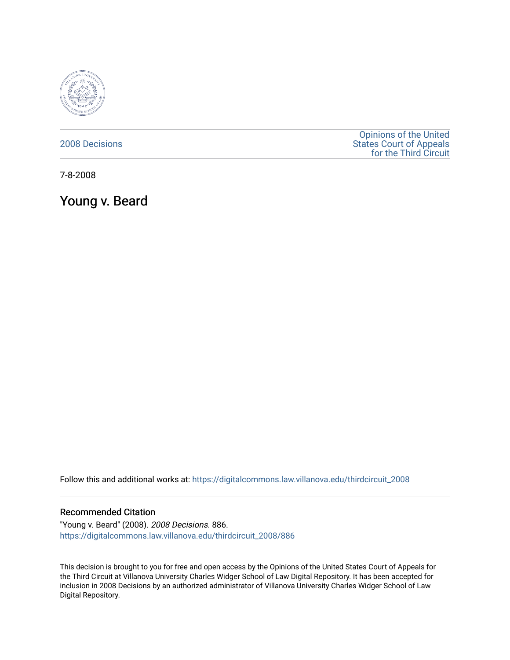

### [2008 Decisions](https://digitalcommons.law.villanova.edu/thirdcircuit_2008)

[Opinions of the United](https://digitalcommons.law.villanova.edu/thirdcircuit)  [States Court of Appeals](https://digitalcommons.law.villanova.edu/thirdcircuit)  [for the Third Circuit](https://digitalcommons.law.villanova.edu/thirdcircuit) 

7-8-2008

Young v. Beard

Follow this and additional works at: [https://digitalcommons.law.villanova.edu/thirdcircuit\\_2008](https://digitalcommons.law.villanova.edu/thirdcircuit_2008?utm_source=digitalcommons.law.villanova.edu%2Fthirdcircuit_2008%2F886&utm_medium=PDF&utm_campaign=PDFCoverPages) 

#### Recommended Citation

"Young v. Beard" (2008). 2008 Decisions. 886. [https://digitalcommons.law.villanova.edu/thirdcircuit\\_2008/886](https://digitalcommons.law.villanova.edu/thirdcircuit_2008/886?utm_source=digitalcommons.law.villanova.edu%2Fthirdcircuit_2008%2F886&utm_medium=PDF&utm_campaign=PDFCoverPages)

This decision is brought to you for free and open access by the Opinions of the United States Court of Appeals for the Third Circuit at Villanova University Charles Widger School of Law Digital Repository. It has been accepted for inclusion in 2008 Decisions by an authorized administrator of Villanova University Charles Widger School of Law Digital Repository.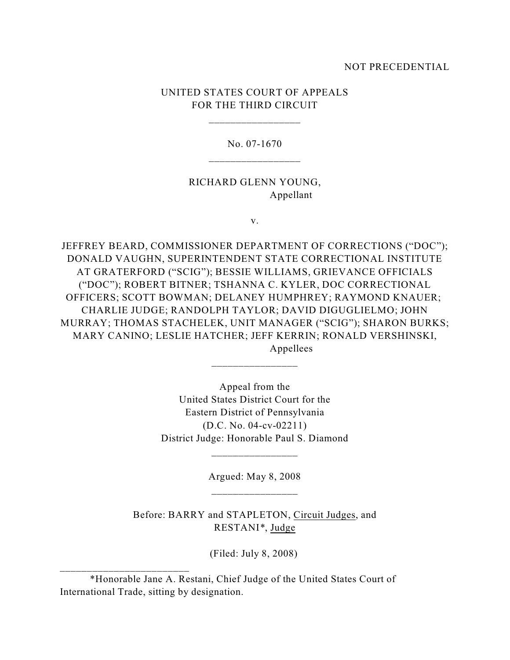#### NOT PRECEDENTIAL

# UNITED STATES COURT OF APPEALS FOR THE THIRD CIRCUIT

\_\_\_\_\_\_\_\_\_\_\_\_\_\_\_\_\_

No. 07-1670

## RICHARD GLENN YOUNG, Appellant

v.

JEFFREY BEARD, COMMISSIONER DEPARTMENT OF CORRECTIONS ("DOC"); DONALD VAUGHN, SUPERINTENDENT STATE CORRECTIONAL INSTITUTE AT GRATERFORD ("SCIG"); BESSIE WILLIAMS, GRIEVANCE OFFICIALS ("DOC"); ROBERT BITNER; TSHANNA C. KYLER, DOC CORRECTIONAL OFFICERS; SCOTT BOWMAN; DELANEY HUMPHREY; RAYMOND KNAUER; CHARLIE JUDGE; RANDOLPH TAYLOR; DAVID DIGUGLIELMO; JOHN MURRAY; THOMAS STACHELEK, UNIT MANAGER ("SCIG"); SHARON BURKS; MARY CANINO; LESLIE HATCHER; JEFF KERRIN; RONALD VERSHINSKI, Appellees

> Appeal from the United States District Court for the Eastern District of Pennsylvania (D.C. No. 04-cv-02211) District Judge: Honorable Paul S. Diamond

\_\_\_\_\_\_\_\_\_\_\_\_\_\_\_\_

Argued: May 8, 2008 \_\_\_\_\_\_\_\_\_\_\_\_\_\_\_\_

\_\_\_\_\_\_\_\_\_\_\_\_\_\_\_\_

Before: BARRY and STAPLETON, Circuit Judges, and RESTANI*\**, Judge

(Filed: July 8, 2008)

\_\_\_\_\_\_\_\_\_\_\_\_\_\_\_\_\_\_\_\_\_\_\_\_

<sup>\*</sup>Honorable Jane A. Restani, Chief Judge of the United States Court of International Trade, sitting by designation.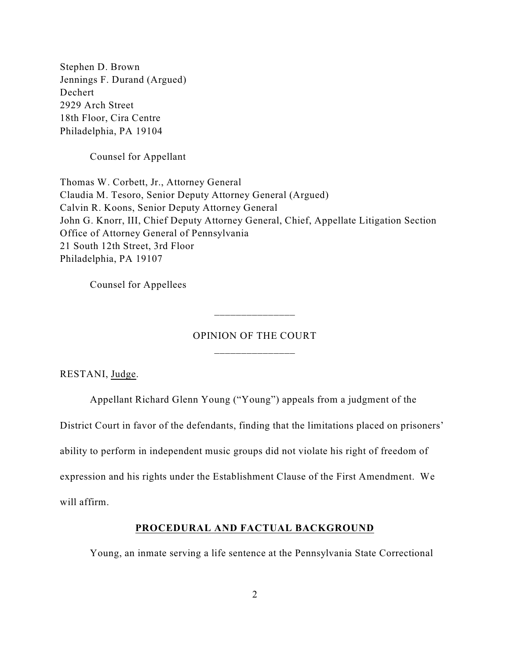Stephen D. Brown Jennings F. Durand (Argued) Dechert 2929 Arch Street 18th Floor, Cira Centre Philadelphia, PA 19104

Counsel for Appellant

Thomas W. Corbett, Jr., Attorney General Claudia M. Tesoro, Senior Deputy Attorney General (Argued) Calvin R. Koons, Senior Deputy Attorney General John G. Knorr, III, Chief Deputy Attorney General, Chief, Appellate Litigation Section Office of Attorney General of Pennsylvania 21 South 12th Street, 3rd Floor Philadelphia, PA 19107

Counsel for Appellees

# OPINION OF THE COURT \_\_\_\_\_\_\_\_\_\_\_\_\_\_\_

\_\_\_\_\_\_\_\_\_\_\_\_\_\_\_

RESTANI, Judge.

Appellant Richard Glenn Young ("Young") appeals from a judgment of the

District Court in favor of the defendants, finding that the limitations placed on prisoners'

ability to perform in independent music groups did not violate his right of freedom of

expression and his rights under the Establishment Clause of the First Amendment. We

will affirm.

#### **PROCEDURAL AND FACTUAL BACKGROUND**

Young, an inmate serving a life sentence at the Pennsylvania State Correctional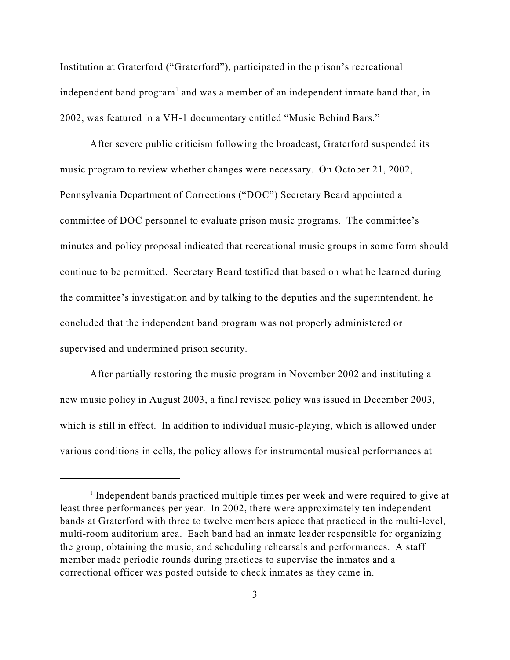Institution at Graterford ("Graterford"), participated in the prison's recreational independent band program<sup>1</sup> and was a member of an independent inmate band that, in 2002, was featured in a VH-1 documentary entitled "Music Behind Bars."

After severe public criticism following the broadcast, Graterford suspended its music program to review whether changes were necessary. On October 21, 2002, Pennsylvania Department of Corrections ("DOC") Secretary Beard appointed a committee of DOC personnel to evaluate prison music programs. The committee's minutes and policy proposal indicated that recreational music groups in some form should continue to be permitted. Secretary Beard testified that based on what he learned during the committee's investigation and by talking to the deputies and the superintendent, he concluded that the independent band program was not properly administered or supervised and undermined prison security.

After partially restoring the music program in November 2002 and instituting a new music policy in August 2003, a final revised policy was issued in December 2003, which is still in effect. In addition to individual music-playing, which is allowed under various conditions in cells, the policy allows for instrumental musical performances at

<sup>&</sup>lt;sup>1</sup> Independent bands practiced multiple times per week and were required to give at least three performances per year. In 2002, there were approximately ten independent bands at Graterford with three to twelve members apiece that practiced in the multi-level, multi-room auditorium area. Each band had an inmate leader responsible for organizing the group, obtaining the music, and scheduling rehearsals and performances. A staff member made periodic rounds during practices to supervise the inmates and a correctional officer was posted outside to check inmates as they came in.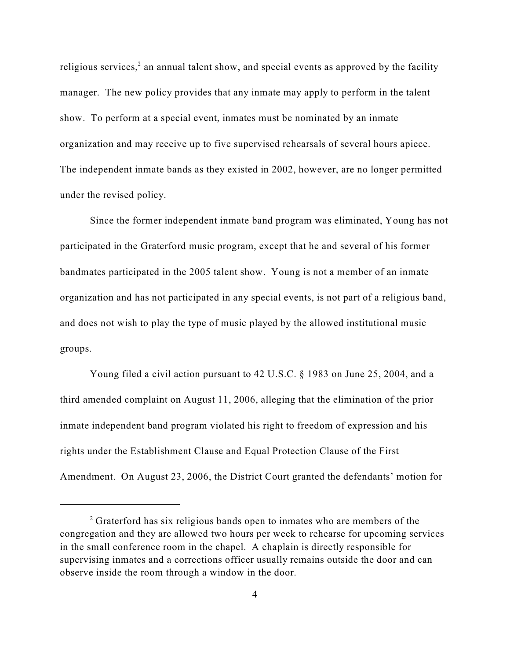religious services, $2$  an annual talent show, and special events as approved by the facility manager. The new policy provides that any inmate may apply to perform in the talent show. To perform at a special event, inmates must be nominated by an inmate organization and may receive up to five supervised rehearsals of several hours apiece. The independent inmate bands as they existed in 2002, however, are no longer permitted under the revised policy.

Since the former independent inmate band program was eliminated, Young has not participated in the Graterford music program, except that he and several of his former bandmates participated in the 2005 talent show. Young is not a member of an inmate organization and has not participated in any special events, is not part of a religious band, and does not wish to play the type of music played by the allowed institutional music groups.

Young filed a civil action pursuant to 42 U.S.C. § 1983 on June 25, 2004, and a third amended complaint on August 11, 2006, alleging that the elimination of the prior inmate independent band program violated his right to freedom of expression and his rights under the Establishment Clause and Equal Protection Clause of the First Amendment. On August 23, 2006, the District Court granted the defendants' motion for

 $\alpha$ <sup>2</sup> Graterford has six religious bands open to inmates who are members of the congregation and they are allowed two hours per week to rehearse for upcoming services in the small conference room in the chapel. A chaplain is directly responsible for supervising inmates and a corrections officer usually remains outside the door and can observe inside the room through a window in the door.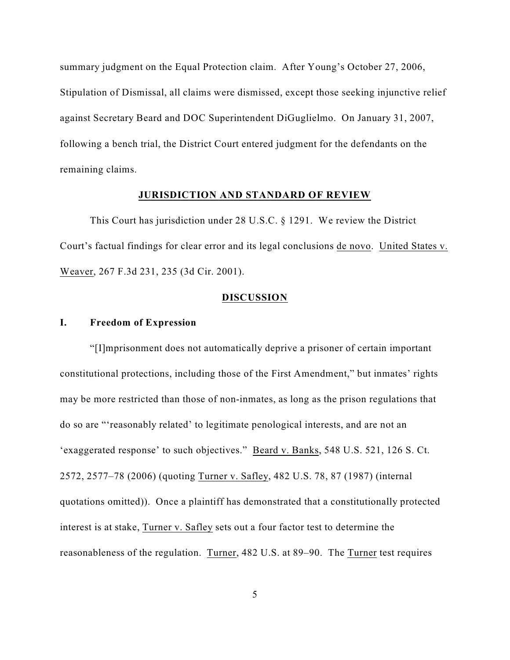summary judgment on the Equal Protection claim. After Young's October 27, 2006, Stipulation of Dismissal, all claims were dismissed, except those seeking injunctive relief against Secretary Beard and DOC Superintendent DiGuglielmo. On January 31, 2007, following a bench trial, the District Court entered judgment for the defendants on the remaining claims.

#### **JURISDICTION AND STANDARD OF REVIEW**

This Court has jurisdiction under 28 U.S.C. § 1291. We review the District Court's factual findings for clear error and its legal conclusions de novo. United States v. Weaver, 267 F.3d 231, 235 (3d Cir. 2001).

#### **DISCUSSION**

#### **I. Freedom of Expression**

"[I]mprisonment does not automatically deprive a prisoner of certain important constitutional protections, including those of the First Amendment," but inmates' rights may be more restricted than those of non-inmates, as long as the prison regulations that do so are "'reasonably related' to legitimate penological interests, and are not an 'exaggerated response' to such objectives." Beard v. Banks, 548 U.S. 521, 126 S. Ct. 2572, 2577–78 (2006) (quoting Turner v. Safley, 482 U.S. 78, 87 (1987) (internal quotations omitted)). Once a plaintiff has demonstrated that a constitutionally protected interest is at stake, Turner v. Safley sets out a four factor test to determine the reasonableness of the regulation. Turner, 482 U.S. at 89–90. The Turner test requires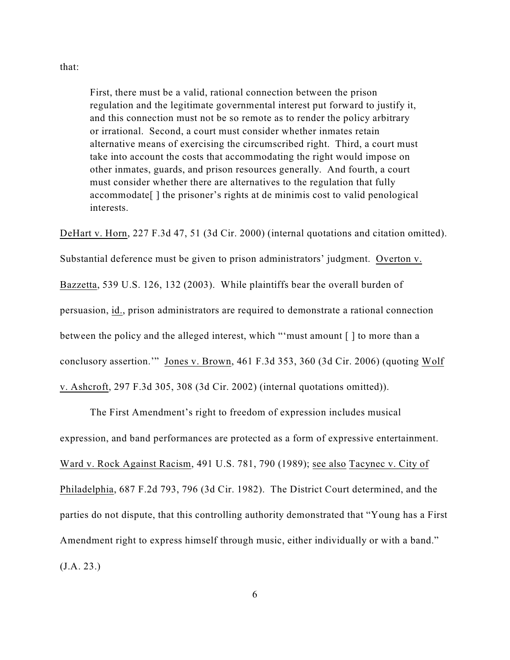#### that:

First, there must be a valid, rational connection between the prison regulation and the legitimate governmental interest put forward to justify it, and this connection must not be so remote as to render the policy arbitrary or irrational. Second, a court must consider whether inmates retain alternative means of exercising the circumscribed right. Third, a court must take into account the costs that accommodating the right would impose on other inmates, guards, and prison resources generally. And fourth, a court must consider whether there are alternatives to the regulation that fully accommodate[ ] the prisoner's rights at de minimis cost to valid penological interests.

DeHart v. Horn, 227 F.3d 47, 51 (3d Cir. 2000) (internal quotations and citation omitted).

Substantial deference must be given to prison administrators' judgment. Overton v.

Bazzetta, 539 U.S. 126, 132 (2003). While plaintiffs bear the overall burden of

persuasion, id., prison administrators are required to demonstrate a rational connection

between the policy and the alleged interest, which "'must amount [ ] to more than a

conclusory assertion.'" Jones v. Brown, 461 F.3d 353, 360 (3d Cir. 2006) (quoting Wolf

v. Ashcroft, 297 F.3d 305, 308 (3d Cir. 2002) (internal quotations omitted)).

The First Amendment's right to freedom of expression includes musical

expression, and band performances are protected as a form of expressive entertainment.

Ward v. Rock Against Racism, 491 U.S. 781, 790 (1989); see also Tacynec v. City of

Philadelphia, 687 F.2d 793, 796 (3d Cir. 1982). The District Court determined, and the parties do not dispute, that this controlling authority demonstrated that "Young has a First Amendment right to express himself through music, either individually or with a band." (J.A. 23.)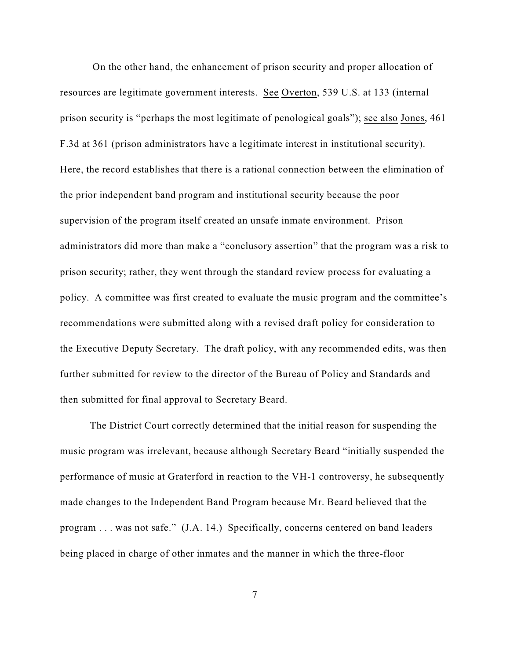On the other hand, the enhancement of prison security and proper allocation of resources are legitimate government interests. See Overton, 539 U.S. at 133 (internal prison security is "perhaps the most legitimate of penological goals"); see also Jones, 461 F.3d at 361 (prison administrators have a legitimate interest in institutional security). Here, the record establishes that there is a rational connection between the elimination of the prior independent band program and institutional security because the poor supervision of the program itself created an unsafe inmate environment. Prison administrators did more than make a "conclusory assertion" that the program was a risk to prison security; rather, they went through the standard review process for evaluating a policy. A committee was first created to evaluate the music program and the committee's recommendations were submitted along with a revised draft policy for consideration to the Executive Deputy Secretary. The draft policy, with any recommended edits, was then further submitted for review to the director of the Bureau of Policy and Standards and then submitted for final approval to Secretary Beard.

The District Court correctly determined that the initial reason for suspending the music program was irrelevant, because although Secretary Beard "initially suspended the performance of music at Graterford in reaction to the VH-1 controversy, he subsequently made changes to the Independent Band Program because Mr. Beard believed that the program . . . was not safe." (J.A. 14.) Specifically, concerns centered on band leaders being placed in charge of other inmates and the manner in which the three-floor

7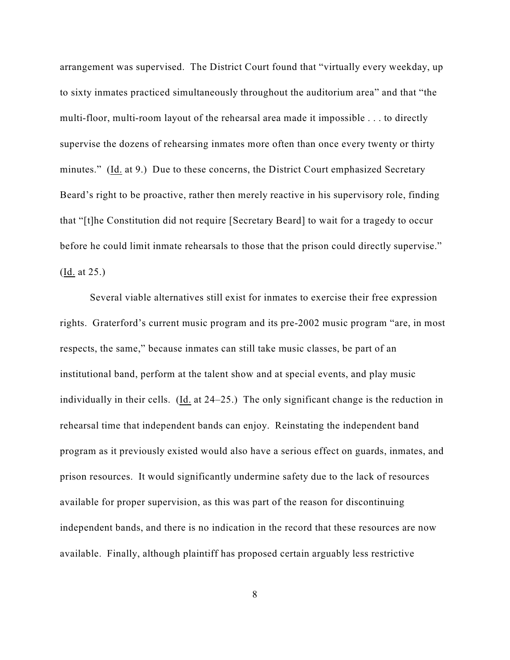arrangement was supervised. The District Court found that "virtually every weekday, up to sixty inmates practiced simultaneously throughout the auditorium area" and that "the multi-floor, multi-room layout of the rehearsal area made it impossible . . . to directly supervise the dozens of rehearsing inmates more often than once every twenty or thirty minutes." (Id. at 9.) Due to these concerns, the District Court emphasized Secretary Beard's right to be proactive, rather then merely reactive in his supervisory role, finding that "[t]he Constitution did not require [Secretary Beard] to wait for a tragedy to occur before he could limit inmate rehearsals to those that the prison could directly supervise." (Id. at 25.)

Several viable alternatives still exist for inmates to exercise their free expression rights. Graterford's current music program and its pre-2002 music program "are, in most respects, the same," because inmates can still take music classes, be part of an institutional band, perform at the talent show and at special events, and play music individually in their cells. (Id. at 24–25.) The only significant change is the reduction in rehearsal time that independent bands can enjoy. Reinstating the independent band program as it previously existed would also have a serious effect on guards, inmates, and prison resources. It would significantly undermine safety due to the lack of resources available for proper supervision, as this was part of the reason for discontinuing independent bands, and there is no indication in the record that these resources are now available. Finally, although plaintiff has proposed certain arguably less restrictive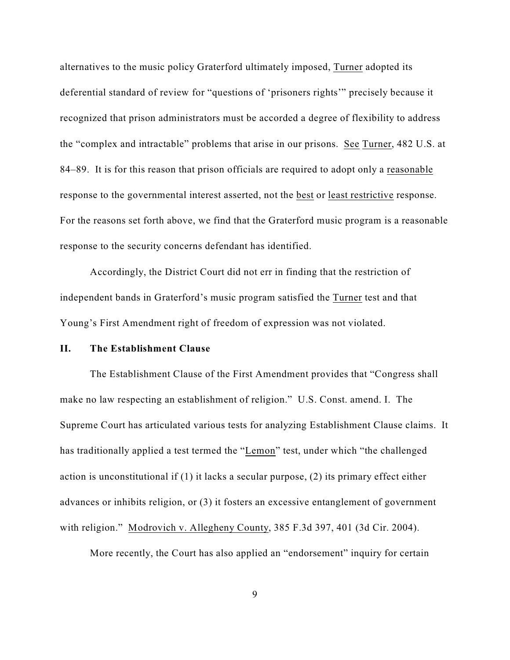alternatives to the music policy Graterford ultimately imposed, Turner adopted its deferential standard of review for "questions of 'prisoners rights'" precisely because it recognized that prison administrators must be accorded a degree of flexibility to address the "complex and intractable" problems that arise in our prisons. See Turner, 482 U.S. at 84–89. It is for this reason that prison officials are required to adopt only a reasonable response to the governmental interest asserted, not the best or least restrictive response. For the reasons set forth above, we find that the Graterford music program is a reasonable response to the security concerns defendant has identified.

Accordingly, the District Court did not err in finding that the restriction of independent bands in Graterford's music program satisfied the Turner test and that Young's First Amendment right of freedom of expression was not violated.

#### **II. The Establishment Clause**

The Establishment Clause of the First Amendment provides that "Congress shall make no law respecting an establishment of religion." U.S. Const. amend. I. The Supreme Court has articulated various tests for analyzing Establishment Clause claims. It has traditionally applied a test termed the "Lemon" test, under which "the challenged action is unconstitutional if (1) it lacks a secular purpose, (2) its primary effect either advances or inhibits religion, or (3) it fosters an excessive entanglement of government with religion." Modrovich v. Allegheny County, 385 F.3d 397, 401 (3d Cir. 2004).

More recently, the Court has also applied an "endorsement" inquiry for certain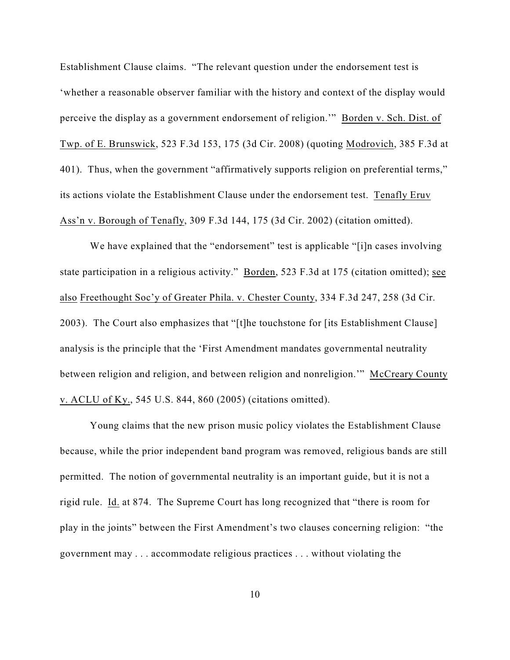Establishment Clause claims. "The relevant question under the endorsement test is 'whether a reasonable observer familiar with the history and context of the display would perceive the display as a government endorsement of religion." Borden v. Sch. Dist. of Twp. of E. Brunswick, 523 F.3d 153, 175 (3d Cir. 2008) (quoting Modrovich, 385 F.3d at 401). Thus, when the government "affirmatively supports religion on preferential terms," its actions violate the Establishment Clause under the endorsement test. Tenafly Eruv Ass'n v. Borough of Tenafly, 309 F.3d 144, 175 (3d Cir. 2002) (citation omitted).

We have explained that the "endorsement" test is applicable "[i]n cases involving state participation in a religious activity." Borden, 523 F.3d at 175 (citation omitted); see also Freethought Soc'y of Greater Phila. v. Chester County, 334 F.3d 247, 258 (3d Cir. 2003). The Court also emphasizes that "[t]he touchstone for [its Establishment Clause] analysis is the principle that the 'First Amendment mandates governmental neutrality between religion and religion, and between religion and nonreligion.'" McCreary County v. ACLU of Ky., 545 U.S. 844, 860 (2005) (citations omitted).

Young claims that the new prison music policy violates the Establishment Clause because, while the prior independent band program was removed, religious bands are still permitted. The notion of governmental neutrality is an important guide, but it is not a rigid rule. Id. at 874. The Supreme Court has long recognized that "there is room for play in the joints" between the First Amendment's two clauses concerning religion: "the government may . . . accommodate religious practices . . . without violating the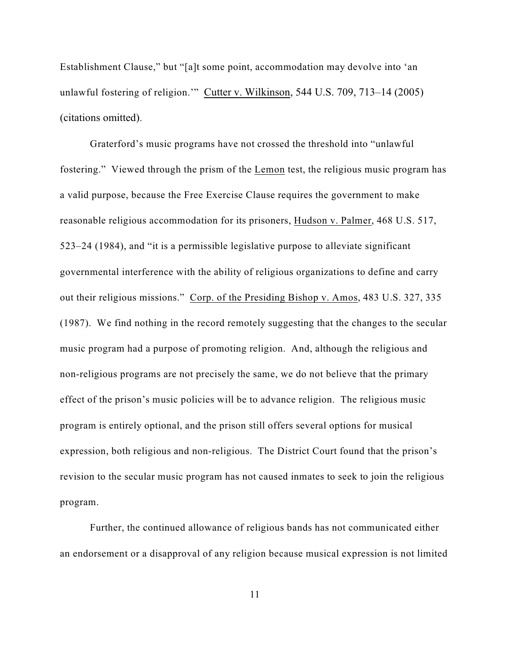Establishment Clause," but "[a]t some point, accommodation may devolve into 'an unlawful fostering of religion.'" Cutter v. Wilkinson, 544 U.S. 709, 713–14 (2005) (citations omitted).

Graterford's music programs have not crossed the threshold into "unlawful fostering." Viewed through the prism of the Lemon test, the religious music program has a valid purpose, because the Free Exercise Clause requires the government to make reasonable religious accommodation for its prisoners, Hudson v. Palmer, 468 U.S. 517, 523–24 (1984), and "it is a permissible legislative purpose to alleviate significant governmental interference with the ability of religious organizations to define and carry out their religious missions." Corp. of the Presiding Bishop v. Amos, 483 U.S. 327, 335 (1987). We find nothing in the record remotely suggesting that the changes to the secular music program had a purpose of promoting religion. And, although the religious and non-religious programs are not precisely the same, we do not believe that the primary effect of the prison's music policies will be to advance religion. The religious music program is entirely optional, and the prison still offers several options for musical expression, both religious and non-religious. The District Court found that the prison's revision to the secular music program has not caused inmates to seek to join the religious program.

Further, the continued allowance of religious bands has not communicated either an endorsement or a disapproval of any religion because musical expression is not limited